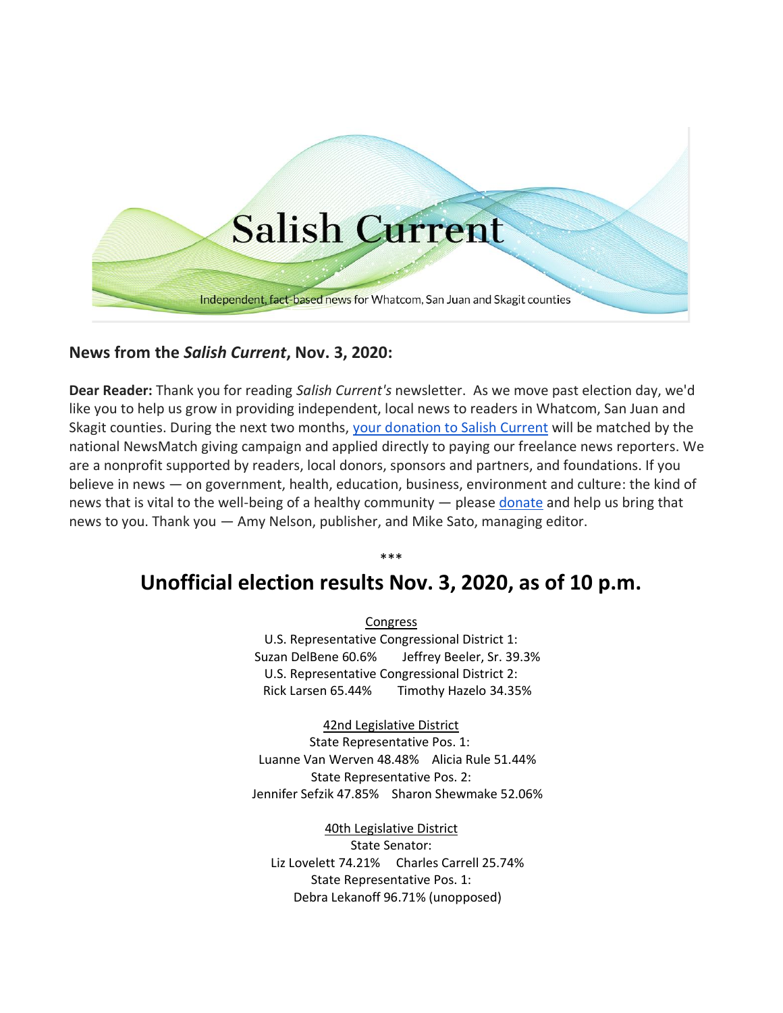

## **News from the** *Salish Current***, Nov. 3, 2020:**

**Dear Reader:** Thank you for reading *Salish Current's* newsletter. As we move past election day, we'd like you to help us grow in providing independent, local news to readers in Whatcom, San Juan and Skagit counties. During the next two months, [your donation to Salish Current](https://salish-current.org/donate/) will be matched by the national NewsMatch giving campaign and applied directly to paying our freelance news reporters. We are a nonprofit supported by readers, local donors, sponsors and partners, and foundations. If you believe in news — on government, health, education, business, environment and culture: the kind of news that is vital to the well-being of a healthy community — please [donate](https://salish-current.org/donate/) and help us bring that news to you. Thank you — Amy Nelson, publisher, and Mike Sato, managing editor.

## \*\*\* **Unofficial election results Nov. 3, 2020, as of 10 p.m.**

Congress U.S. Representative Congressional District 1: Suzan DelBene 60.6% Jeffrey Beeler, Sr. 39.3% U.S. Representative Congressional District 2: Rick Larsen 65.44% Timothy Hazelo 34.35%

42nd Legislative District State Representative Pos. 1: Luanne Van Werven 48.48% Alicia Rule 51.44% State Representative Pos. 2: Jennifer Sefzik 47.85% Sharon Shewmake 52.06%

40th Legislative District State Senator: Liz Lovelett 74.21% Charles Carrell 25.74% State Representative Pos. 1: Debra Lekanoff 96.71% (unopposed)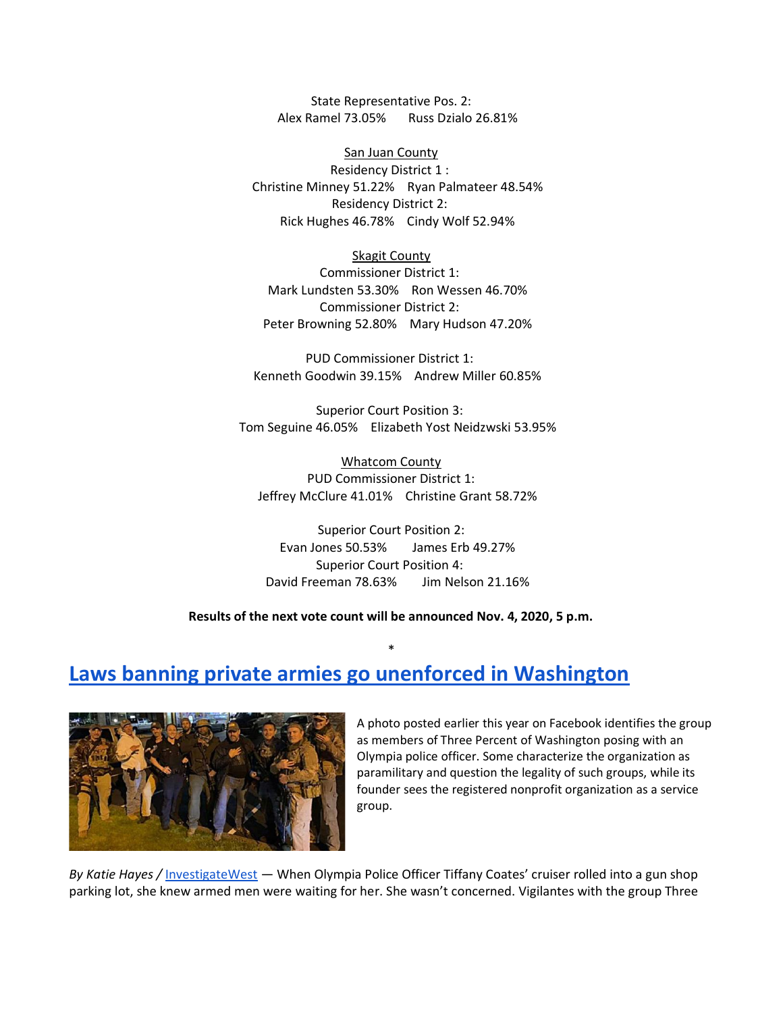State Representative Pos. 2: Alex Ramel 73.05% Russ Dzialo 26.81%

San Juan County Residency District 1 : Christine Minney 51.22% Ryan Palmateer 48.54% Residency District 2: Rick Hughes 46.78% Cindy Wolf 52.94%

#### Skagit County

Commissioner District 1: Mark Lundsten 53.30% Ron Wessen 46.70% Commissioner District 2: Peter Browning 52.80% Mary Hudson 47.20%

PUD Commissioner District 1: Kenneth Goodwin 39.15% Andrew Miller 60.85%

Superior Court Position 3: Tom Seguine 46.05% Elizabeth Yost Neidzwski 53.95%

Whatcom County PUD Commissioner District 1: Jeffrey McClure 41.01% Christine Grant 58.72%

Superior Court Position 2: Evan Jones 50.53% James Erb 49.27% Superior Court Position 4: David Freeman 78.63% Jim Nelson 21.16%

**Results of the next vote count will be announced Nov. 4, 2020, 5 p.m.**

\*

# **[Laws banning private armies go unenforced in Washington](https://salish-current.org/2020/11/03/laws-banning-private-armies-go-unenforced-in-washington/)**



A photo posted earlier this year on Facebook identifies the group as members of Three Percent of Washington posing with an Olympia police officer. Some characterize the organization as paramilitary and question the legality of such groups, while its founder sees the registered nonprofit organization as a service group.

*By Katie Hayes /* [InvestigateWest](https://www.invw.org/) — When Olympia Police Officer Tiffany Coates' cruiser rolled into a gun shop parking lot, she knew armed men were waiting for her. She wasn't concerned. Vigilantes with the group Three